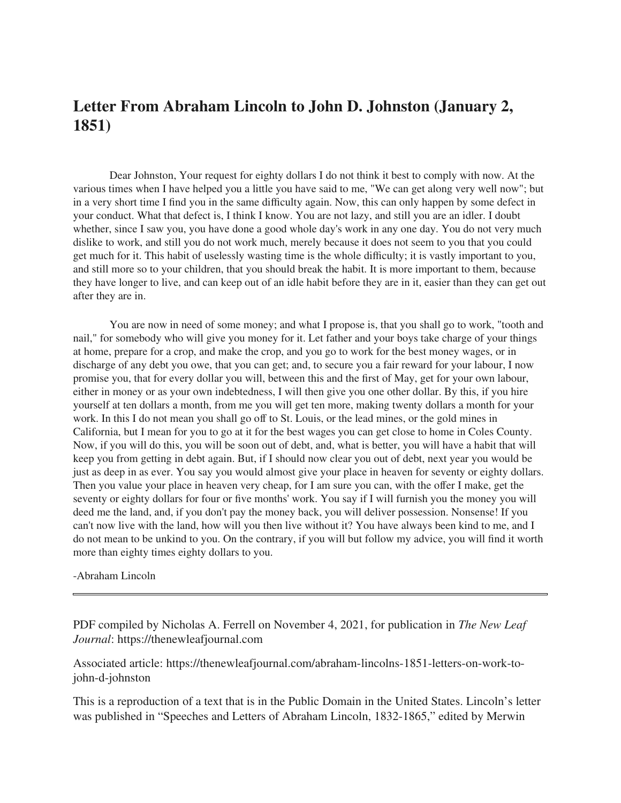## **Letter From Abraham Lincoln to John D. Johnston (January 2, 1851)**

Dear Johnston, Your request for eighty dollars I do not think it best to comply with now. At the various times when I have helped you a little you have said to me, "We can get along very well now"; but in a very short time I find you in the same difficulty again. Now, this can only happen by some defect in your conduct. What that defect is, I think I know. You are not lazy, and still you are an idler. I doubt whether, since I saw you, you have done a good whole day's work in any one day. You do not very much dislike to work, and still you do not work much, merely because it does not seem to you that you could get much for it. This habit of uselessly wasting time is the whole difficulty; it is vastly important to you, and still more so to your children, that you should break the habit. It is more important to them, because they have longer to live, and can keep out of an idle habit before they are in it, easier than they can get out after they are in.

You are now in need of some money; and what I propose is, that you shall go to work, "tooth and nail," for somebody who will give you money for it. Let father and your boys take charge of your things at home, prepare for a crop, and make the crop, and you go to work for the best money wages, or in discharge of any debt you owe, that you can get; and, to secure you a fair reward for your labour, I now promise you, that for every dollar you will, between this and the first of May, get for your own labour, either in money or as your own indebtedness, I will then give you one other dollar. By this, if you hire yourself at ten dollars a month, from me you will get ten more, making twenty dollars a month for your work. In this I do not mean you shall go off to St. Louis, or the lead mines, or the gold mines in California, but I mean for you to go at it for the best wages you can get close to home in Coles County. Now, if you will do this, you will be soon out of debt, and, what is better, you will have a habit that will keep you from getting in debt again. But, if I should now clear you out of debt, next year you would be just as deep in as ever. You say you would almost give your place in heaven for seventy or eighty dollars. Then you value your place in heaven very cheap, for I am sure you can, with the offer I make, get the seventy or eighty dollars for four or five months' work. You say if I will furnish you the money you will deed me the land, and, if you don't pay the money back, you will deliver possession. Nonsense! If you can't now live with the land, how will you then live without it? You have always been kind to me, and I do not mean to be unkind to you. On the contrary, if you will but follow my advice, you will find it worth more than eighty times eighty dollars to you.

## -Abraham Lincoln

PDF compiled by Nicholas A. Ferrell on November 4, 2021, for publication in *The New Leaf Journal*: https://thenewleafjournal.com

Associated article: https://thenewleafjournal.com/abraham-lincolns-1851-letters-on-work-tojohn-d-johnston

This is a reproduction of a text that is in the Public Domain in the United States. Lincoln's letter was published in "Speeches and Letters of Abraham Lincoln, 1832-1865," edited by Merwin